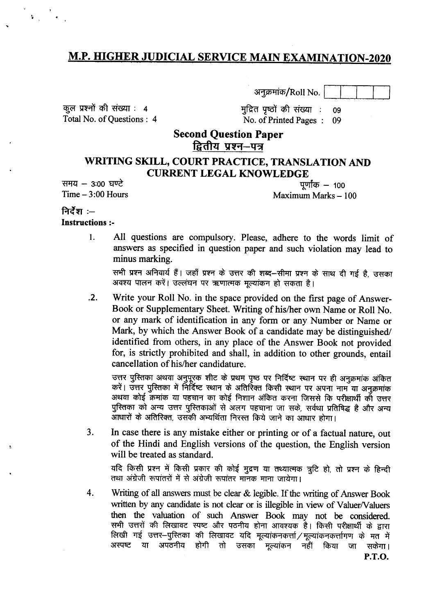## M.P. HIGHER JUDICIAL SERVICE MAIN EXAMINATION-2020

कूल प्रश्नों की संख्या : 4 Total No. of Questions: 4 अनुक्रमांक/Roll No.

मुद्रित पृष्ठों की संख्या : 09 No. of Printed Pages: 09

#### **Second Question Paper** द्वितीय प्रश्न–पत्र

#### WRITING SKILL, COURT PRACTICE, TRANSLATION AND **CURRENT LEGAL KNOWLEDGE**

समय - 3:00 घण्टे  $Time - 3:00$  Hours

पूर्णांक — 100 Maximum Marks  $-100$ 

## निर्देश :--

 $\mathbf{v}_1, \ldots, \mathbf{v}_n$ 

**Instructions:-**

 $\mathbf{1}$ . All questions are compulsory. Please, adhere to the words limit of answers as specified in question paper and such violation may lead to minus marking.

सभी प्रश्न अनिवार्य हैं। जहाँ प्रश्न के उत्तर की शब्द–सीमा प्रश्न के साथ दी गई है, उसका अवश्य पालन करें। उल्लंघन पर ऋणात्मक मूल्यांकन हो सकता है।

 $.2.$ Write your Roll No. in the space provided on the first page of Answer-Book or Supplementary Sheet. Writing of his/her own Name or Roll No. or any mark of identification in any form or any Number or Name or Mark, by which the Answer Book of a candidate may be distinguished/ identified from others, in any place of the Answer Book not provided for, is strictly prohibited and shall, in addition to other grounds, entail cancellation of his/her candidature.

उत्तर पुस्तिका अथवा अनुपूरक शीट के प्रथम पृष्ठ पर निर्दिष्ट स्थान पर ही अनुक्रमांक अंकित करें। उत्तर पुस्तिका में निर्दिष्ट स्थान के अतिरिक्त किसी स्थान पर अपना नाम या अनुक्रमांक अथवा कोई क्रमांक या पहचान का कोई निशान अंकित करना जिससे कि परीक्षार्थी को उत्तर पुस्तिका को अन्य उत्तर पुस्तिकाओं से अलग पहचाना जा सके, सर्वथा प्रतिषिद्ध है और अन्य आधारों के अतिरिक्त, उसकी अभ्यर्थिता निरस्त किये जाने का आधार होगा।

3. In case there is any mistake either or printing or of a factual nature, out of the Hindi and English versions of the question, the English version will be treated as standard.

यदि किसी प्रश्न में किसी प्रकार की कोई मुद्रण या तथ्यात्मक त्रुटि हो, तो प्रश्न के हिन्दी तथा अंग्रेजी रूपांतरों में से अंग्रेजी रूपांतर मॉनक माना जायेगा।

4. Writing of all answers must be clear  $\&$  legible. If the writing of Answer Book written by any candidate is not clear or is illegible in view of Valuer/Valuers then the valuation of such Answer Book may not be considered. सभी उत्तरों की लिखावट स्पष्ट और पठनीय होना आवश्यक है। किसी परीक्षार्थी के द्वारा लिखी गई उत्तर-पुस्तिका की लिखावट यदि मूल्यांकनकर्त्ता / मूल्यांकनकर्त्तागण के मत में अस्पष्ट या अपठनीय होगी तो उसका मूल्यांकन नहीं किया जा सकेगा। **P.T.O.**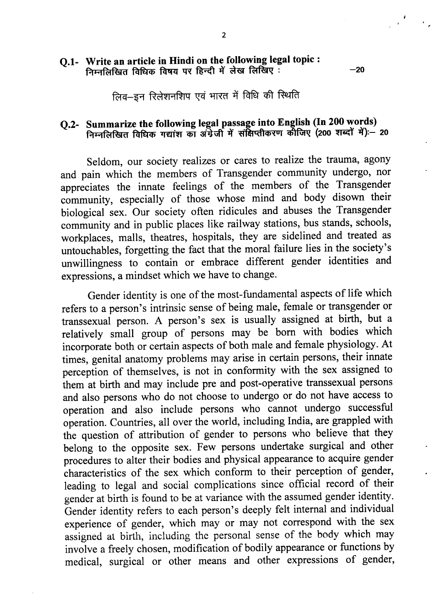### Q.1- Write an article in Hindi on the following legal topic : निम्नलिखित विधिक विषय पर हिन्दी में लेख लिखिए:

लिव-इन रिलेशनशिप एवं भारत में विधि की स्थिति

# Q.2- Summarize the following legal passage into English (In 200 words)<br>निम्नलिखित विधिक गद्यांश का अंग्रेजी में संक्षिप्तीकरण कीजिए (200 शब्दों में):- 20

Seldom, our society realizes or cares to realize the trauma, agony and pain which the members of Transgender community undergo, nor appreciates the imate feelings of the members of the Transgender community, especially of those whose mind and body disown their biological sex. Our society often ridicules and abuses the Transgender community and in public places like railway stations, bus stands, schools, workplaces, malls, theatres, hospitals, they are sidelined and treated as untouchables, forgetting the fact that the moral failure lies in the society's unwillingness to contain or embrace different gender identities and expressions, a mindset which we have to change.

Gender identity is one of the most-fundamental aspects of life which refers to a person's intrinsic sense of being male, female or transgender or transsexual person. A person's sex is usually assigned at birth, but a relatively small group of persons may be born with bodies which incorporate both or certain aspects of both male and female physiology. At times, genital anatomy problems may arise in certain persons, their innate perception of themselves, is not in conformity with the sex assigned to them at birth and may include pre and post-operative transsexual persons and also persons who do not choose to undergo or do not have access to operation and also include persons who cannot undergo successful operation. Countries, all over the world, including India, are grappled with the question of attribution of gender to persons who believe that they belong to the opposite sex. Few persons undertake surgical and other procedures to alter their bodies and physical appearance to acquire gender characteristics of the sex which conform to their perception of gender, leading to legal and social complications since official record of their gender at birth is found to be at variance with the assumed gender identity. Gender identity refers to each person's deeply felt internal and individual experience of gender, which may or may not correspond with the sex assigned at birth, including the personal sense of the body which may involve a freely chosen, modification of bodily appearance or functions by medical, surgical or other means and other expressions of gender,

 $-20$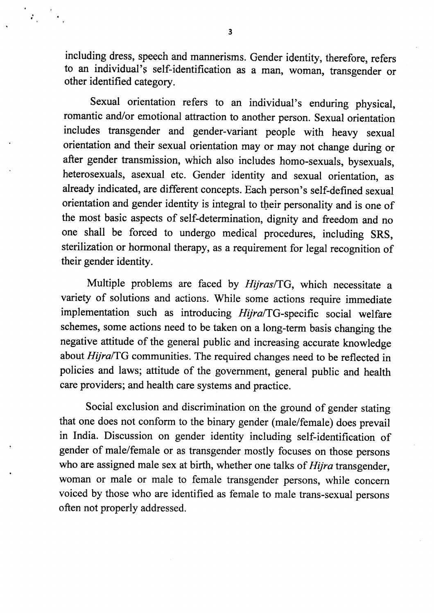including dress, speech and mannerisms. Gender identity, therefore, refers to an individual's self-identiflcation as a man, woman, transgender or other identified category.

Sexual orientation refers to an individual's enduring physical, romantic and/or emotional attraction to another person. Sexual orientation includes transgender and gender-variant people with heavy sexual orientation and their sexual orientation may or may not change during or after gender transmission, which also includes homo-sexuals, bysexuals, heterosexuals, asexual etc. Gender identity and sexual orientation, as already indicated, are different concepts. Each person's self-defined sexual orientation and gender identity is integral to their personality and is one of the most basic aspects of self-determination, dignity and freedom and no one shall be forced to undergo medical procedures, including SRS, sterilization or hormonal therapy, as a requirement for legal recognition of their gender identity.

Multiple problems are faced by Hijras/TG, which necessitate a variety of solutions and actions. While some actions require immediate implementation such as introducing Hijra/TG-specific social welfare schemes, some actions need to be taken on a long-term basis changing the negative attitude of the general public and increasing accurate knowledge about Hijra/TG communities. The required changes need to be reflected in policies and laws; attitude of the government, general public and health care providers; and health care systems and practice.

Social exclusion and discrimination on the ground of gender stating that one does not conform to the binary gender (male/female) does prevail in India. Discussion on gender identity including self-identification of gender of male/female or as transgender mostly focuses on those persons who are assigned male sex at birth, whether one talks of Hijra transgender, woman or male or male to female transgender persons, while concern voiced by those who are identified as female to male trams-sexual persons often not properly addressed.

 $\mathcal{L}_{\mu}^{(0)}$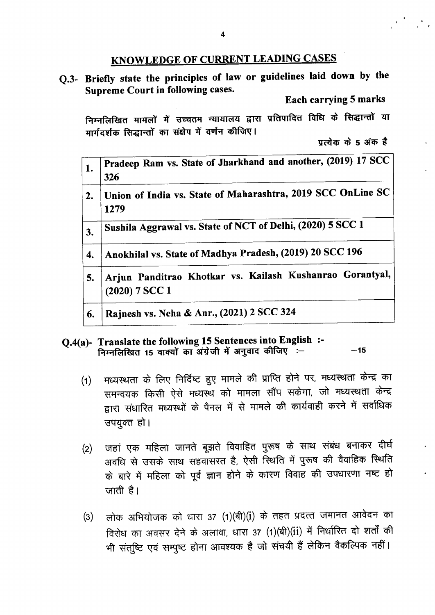# **KNOWLEDGE OF CURRENT LEADING CASES**

Q.3- Briefly state the principles of law or guidelines laid down by the **Supreme Court in following cases.** 

Each carrying 5 marks

निम्नलिखित मामलों में उच्चतम न्यायालय द्वारा प्रतिपादित विधि के सिद्धान्तों या मार्गदर्शक सिद्धान्तों का संक्षेप में वर्णन कीजिए।

पत्येक के 5 अंक है

|  |             |  |  | 1. Pradeep Ram vs. State of Jharkhand and another, (2019) 17 SL $\cup$ |  |  |  |
|--|-------------|--|--|------------------------------------------------------------------------|--|--|--|
|  | $\vert$ 326 |  |  |                                                                        |  |  |  |

- Union of India vs. State of Maharashtra, 2019 SCC OnLine SC  $2.$ 1279
- Sushila Aggrawal vs. State of NCT of Delhi, (2020) 5 SCC 1 3.
- Anokhilal vs. State of Madhya Pradesh, (2019) 20 SCC 196 4.
- Arjun Panditrao Khotkar vs. Kailash Kushanrao Gorantyal, 5.  $(2020) 7 SCC1$
- Rajnesh vs. Neha & Anr., (2021) 2 SCC 324 6.

#### Q.4(a)- Translate the following 15 Sentences into English :-निम्नलिखित 15 वाक्यों का अंग्रेजी में अनुवाद कीजिए ः- $-15$

- मध्यस्थता के लिए निर्दिष्ट हुए मामले की प्राप्ति होने पर, मध्यस्थता केन्द्र का  $(1)$ समन्वयक किसी ऐसे मध्यस्थ को मामला सौंप सकेगा, जो मध्यस्थता केन्द्र द्वारा संधारित मध्यस्थों के पैनल में से मामले की कार्यवाही करने में सर्वाधिक उपयुक्त हो।
- जहां एक महिला जानते बूझते विवाहित पुरूष के साथ संबंध बनाकर दीर्घ  $(2)$ अवधि से उसके साथ सहवासरत है, ऐसी स्थिति में पुरूष की वैवाहिक स्थिति के बारे में महिला को पूर्व ज्ञान होने के कारण विवाह की उपधारणा नष्ट हो जाती है।
- लोक अभियोजक को धारा 37 (1)(बी)(i) के तहत प्रदत्त जमानत आवेदन का  $(3)$ विरोध का अवसर देने के अलावा, धारा 37 (1)(बी)(ii) में निर्धारित दो शर्तों की भी संतुष्टि एवं सम्पुष्ट होना आवश्यक है जो संचयी हैं लेकिन वैकल्पिक नहीं।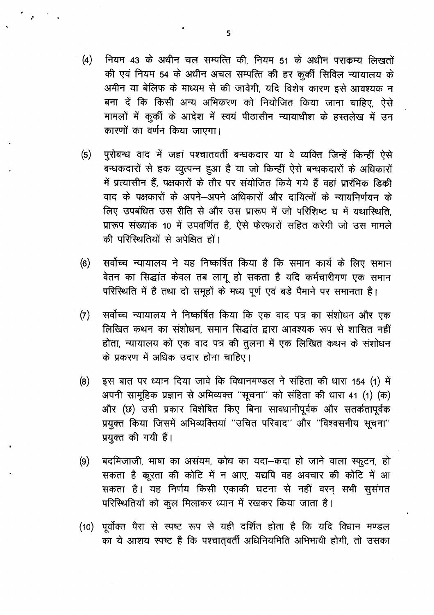- नियम 43 के अधीन चल सम्पत्ति की, नियम 51 के अधीन पराकम्य लिखतों  $(4)$ की एवं नियम 54 के अधीन अचल सम्पत्ति की हर कुर्की सिविल न्यायालय के अमीन या बेलिफ के माध्यम से की जावेगी, यदि विशेष कारण इसे आवश्यक न बना दें कि किसी अन्य अभिकरण को नियोजित किया जाना चाहिए, ऐसे मामलों में कुर्की के आदेश में स्वयं पीठासीन न्यायाधीश के हस्तलेख में उन कारणों का वर्णन किया जाएगा।
- पुरोबन्ध वाद में जहां पश्चातवर्ती बन्धकदार या वे व्यक्ति जिन्हें किन्हीं ऐसे  $(5)$ बन्धकदारों से हक व्युत्पन्न हुआ है या जो किन्हीं ऐसे बन्धकदारों के अधिकारों में प्रत्यासीन हैं, पक्षकारों के तौर पर संयोजित किये गये हैं वहां प्रारंभिक डिकी वाद के पक्षकारों के अपने-अपने अधिकारों और दायित्वों के न्यायनिर्णयन के लिए उपबंधित उस रीति से और उस प्रारूप में जो परिशिष्ट घ में यथास्थिति. प्रारूप संख्यांक 10 में उपवर्णित है, ऐसे फेरफारों सहित करेगी जो उस मामले की परिस्थितियों से अपेक्षित हों।
- सर्वोच्च न्यायालय ने यह निष्कर्षित किया है कि समान कार्य के लिए समान  $(6)$ वेतन का सिद्धांत केवल तब लागू हो सकता है यदि कर्मचारीगण एक समान परिस्थिति में है तथा दो समूहों के मध्य पूर्ण एवं बड़े पैमाने पर समानता है।
- सर्वोच्च न्यायालय ने निष्कर्षित किया कि एक वाद पत्र का संशोधन और एक  $(7)$ लिखित कथन का संशोधन, समान सिद्धांत द्वारा आवश्यक रूप से शासित नहीं होता, न्यायालय को एक वाद पत्र की तुलना में एक लिखित कथन के संशोधन के प्रकरण में अधिक उदार होना चाहिए।
- इस बात पर ध्यान दिया जावे कि विधानमण्डल ने संहिता की धारा 154 (1) में  $(8)$ अपनी सामूहिक प्रज्ञान से अभिव्यक्त "सूचना" को संहिता की धारा 41 (1) (क) और (छ) उसी प्रकार विशेषित किए बिना सावधानीपूर्वक और सतर्कतापूर्वक प्रयुक्त किया जिसमें अभिव्यक्तियां "उचित परिवाद" और "विश्वसनीय सूचना" प्रयुक्त की गयी हैं।
- $(9)$ बदमिजाजी, भाषा का असंयम, कोध का यदा–कदा हो जाने वाला स्फुटन, हो सकता है कूरता की कोटि में न आए, यद्यपि वह अवचार की कोटि में आ सकता है। यह निर्णय किसी एकाकी घटना से नहीं वरन् सभी सुसंगत परिस्थितियों को कुल मिलाकर ध्यान में रखकर किया जाता है।
- (10) पूर्वोक्त पैरा से स्पष्ट रूप से यही दर्शित होता है कि यदि विधान मण्डल का ये आशय स्पष्ट है कि पश्चातवर्ती अधिनियमिति अभिभावी होगी, तो उसका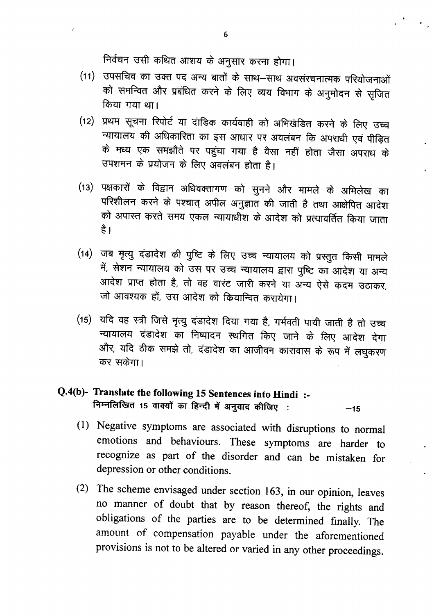निर्वचन उसी कथित आशय के अनुसार करना होगा।

- उपसचिव का उक्त पद अन्य बातों के साथ-साथ अवसंरचनात्मक परियोजनाओं  $(11)$ को समन्वित और प्रबंधित करने के लिए व्यय विभाग के अनुमोदन से सृजित किया गया था।
- (12) प्रथम सूचना रिपोर्ट या दांडिक कार्यवाही को अभिखंडित करने के लिए उच्च न्यायालय की अधिकारिता का इस आधार पर अवलंबन कि अपराधी एवं पीड़ित के मध्य एक समझौते पर पहुंचा गया है वैसा नहीं होता जैसा अपराध के उपशमन के प्रयोजन के लिए अवलंबन होता है।
- (13) पक्षकारों के विद्वान अधिवक्तागण को सुनने और मामले के अभिलेख का परिशीलन करने के पश्चात् अपील अनुज्ञात की जाती है तथा आक्षेपित आदेश को अपास्त करते समय एकल न्यायाधीश के आदेश को प्रत्यावर्तित किया जाता है।
- (14) जब मृत्यु दंडादेश की पुष्टि के लिए उच्च न्यायालय को प्रस्तुत किसी मामले में, सेशन न्यायालय को उस पर उच्च न्यायालय द्वारा पुष्टि का आदेश या अन्य आदेश प्राप्त होता है, तो वह वारंट जारी करने या अन्य ऐसे कदम उठाकर, जो आवश्यक हों, उस आदेश को कियान्वित करायेगा।
- (15) यदि वह स्त्री जिसे मृत्यु दंडादेश दिया गया है, गर्भवती पायी जाती है तो उच्च न्यायालय दंडादेश का निष्पादन स्थगित किए जाने के लिए आदेश देगा और, यदि ठीक समझे तो, दंडादेश का आजीवन कारावास के रूप में लघुकरण कर सकेगा।

#### Q.4(b)- Translate the following 15 Sentences into Hindi :-निम्नलिखित 15 वाक्यों का हिन्दी में अनुवाद कीजिए:  $-15$

- (1) Negative symptoms are associated with disruptions to normal emotions and behaviours. These symptoms are harder to recognize as part of the disorder and can be mistaken for depression or other conditions.
- (2) The scheme envisaged under section 163, in our opinion, leaves no manner of doubt that by reason thereof, the rights and obligations of the parties are to be determined finally. The amount of compensation payable under the aforementioned provisions is not to be altered or varied in any other proceedings.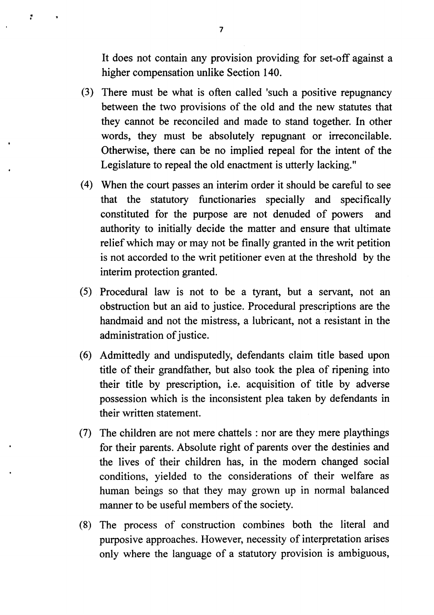It does not contain any provision providing for set-off against a higher compensation unlike Section 140.

- (3) There must be what is often called 'such a positive repugnancy between the two provisions of the old and the new statutes that they cannot be reconciled and made to stand together. In other words, they must be absolutely repugnant or irreconcilable. Otherwise, there can be no implied repeal for the intent of the Legislature to repeal the old enactment is utterly lacking."
- (4) When the court passes an interim order it should be careful to see that the statutory functionaries specially and specifically constituted for the purpose are not denuded of powers and authority to initially decide the matter and ensure that ultimate relief which may or may not be finally granted in the writ petition is not accorded to the writ petitioner even at the threshold by the interim protection granted.
- (5) Procedural law is not to be a tyrant, but a servant, not an obstruction but an aid to justice. Procedural prescriptions are the handmaid and not the mistress, a lubricant, not a resistant in the administration of justice.
- (6) Admittedly and undisputedly, defendants claim title based upon title of their grandfather, but also took the plea of ripening into their title by prescription, i.e. acquisition of title by adverse possession which is the inconsistent plea taken by defendants in their written statement.
- (7) The children are not mere chattels : nor are they mere playthings for their parents. Absolute right of parents over the destinies and the lives of their children has, in the modern changed social conditions, yielded to the considerations of their welfare as human beings so that they may grown up in normal balanced manner to be useful members of the society.
- (8) The process of construction combines both the literal and purposive approaches. However, necessity of interpretation arises only where the language of a statutory provision is ambiguous,

 $\ddot{\phantom{a}}$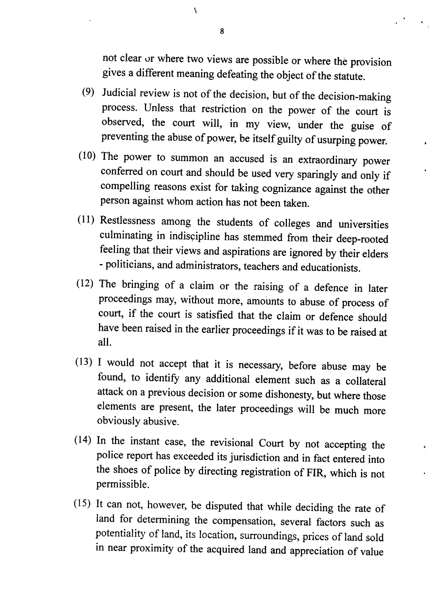not clear or where two views are possible or where the provision gives a different meaning defeating the object of the statute.

- (9) Judicial review is not of the decision, but of the decision-making process. Unless that restriction on the power of the court is observed, the court will, in my view, under the guise of preventing the abuse of power, be itself guilty of usurping power.
- (10) The power to summon an accused is an extraordinary power conferred on court and should be used very sparingly and only if compelling reasons exist for taking cognizance against the other person against whom action has not been taken.
- (11) Restlessness among the students of colleges and universities culminating in indiscipline has stemmed from their deep-rooted feeling that their views and aspirations are ignored by their elders -politicians, and administrators, teachers and educationists.
- (12) The bringing of a claim or the raising of a defence in later proceedings may, without more, amounts to abuse of process of court, if the court is satisfied that the claim or defence should have been raised in the earlier proceedings if it was to be raised at all.
- (13) I would not accept that it is necessary, before abuse may be found, to identify any additional element such as a collateral attack on a previous decision or some dishonesty, but where those elements are present, the later proceedings will be much more obviously abusive.
- (14) In the instant case, the revisional Court by not accepting the police report has exceeded its jurisdiction and in fact entered into the shoes of police by directing registration of FIR, which is not permissible.
- (15) It can not, however, be disputed that while deciding the rate of land for determining the compensation, several factors such as potentiality of land, its location, surroundings, prices of land sold in near proximity of the acquired land and appreciation of value

 $\overline{\mathcal{L}}$